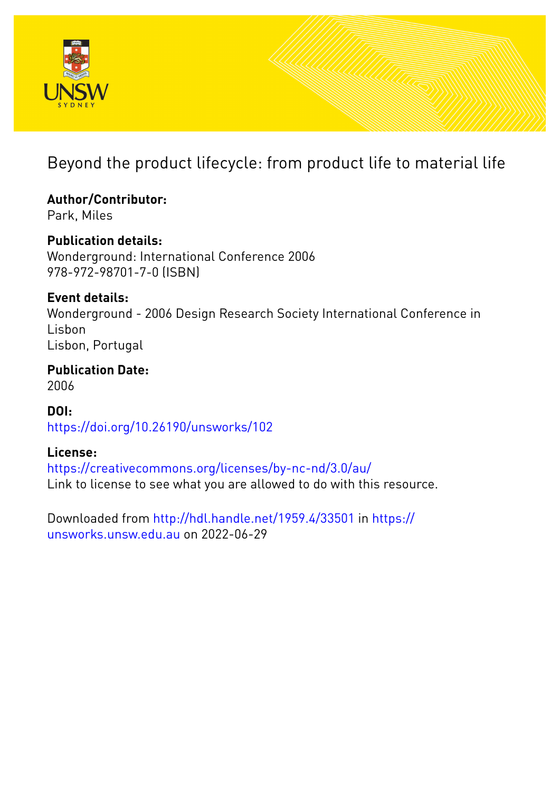

# Beyond the product lifecycle: from product life to material life

**Author/Contributor:** Park, Miles

# **Publication details:**

Wonderground: International Conference 2006 978-972-98701-7-0 (ISBN)

# **Event details:**

Wonderground - 2006 Design Research Society International Conference in Lisbon Lisbon, Portugal

**Publication Date:** 2006

**DOI:** [https://doi.org/10.26190/unsworks/102](http://dx.doi.org/https://doi.org/10.26190/unsworks/102)

# **License:**

<https://creativecommons.org/licenses/by-nc-nd/3.0/au/> Link to license to see what you are allowed to do with this resource.

Downloaded from <http://hdl.handle.net/1959.4/33501> in [https://](https://unsworks.unsw.edu.au) [unsworks.unsw.edu.au](https://unsworks.unsw.edu.au) on 2022-06-29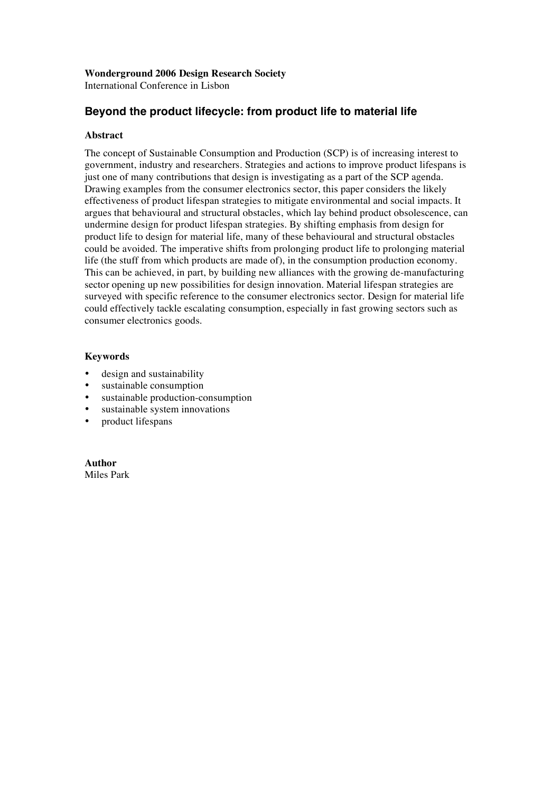# **Wonderground 2006 Design Research Society**

International Conference in Lisbon

# **Beyond the product lifecycle: from product life to material life**

# **Abstract**

The concept of Sustainable Consumption and Production (SCP) is of increasing interest to government, industry and researchers. Strategies and actions to improve product lifespans is just one of many contributions that design is investigating as a part of the SCP agenda. Drawing examples from the consumer electronics sector, this paper considers the likely effectiveness of product lifespan strategies to mitigate environmental and social impacts. It argues that behavioural and structural obstacles, which lay behind product obsolescence, can undermine design for product lifespan strategies. By shifting emphasis from design for product life to design for material life, many of these behavioural and structural obstacles could be avoided. The imperative shifts from prolonging product life to prolonging material life (the stuff from which products are made of), in the consumption production economy. This can be achieved, in part, by building new alliances with the growing de-manufacturing sector opening up new possibilities for design innovation. Material lifespan strategies are surveyed with specific reference to the consumer electronics sector. Design for material life could effectively tackle escalating consumption, especially in fast growing sectors such as consumer electronics goods.

# **Keywords**

- design and sustainability
- sustainable consumption
- sustainable production-consumption<br>• sustainable system innovations
- sustainable system innovations
- product lifespans

**Author** Miles Park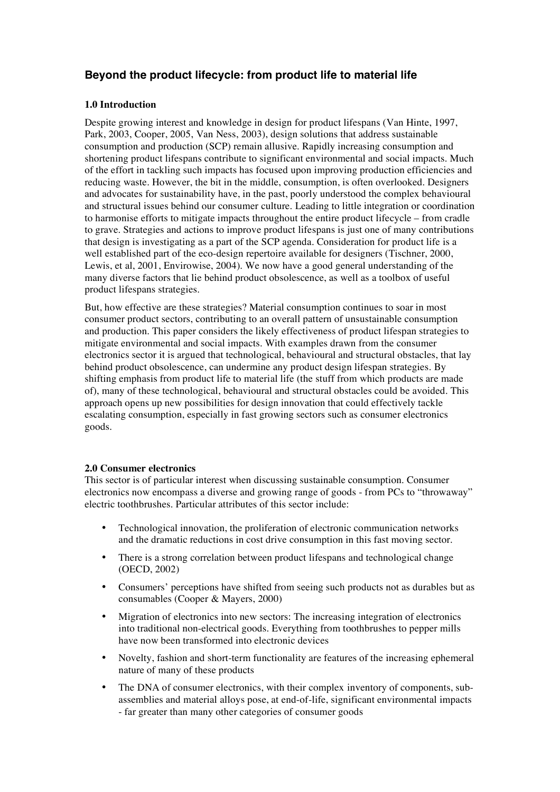# **Beyond the product lifecycle: from product life to material life**

# **1.0 Introduction**

Despite growing interest and knowledge in design for product lifespans (Van Hinte, 1997, Park, 2003, Cooper, 2005, Van Ness, 2003), design solutions that address sustainable consumption and production (SCP) remain allusive. Rapidly increasing consumption and shortening product lifespans contribute to significant environmental and social impacts. Much of the effort in tackling such impacts has focused upon improving production efficiencies and reducing waste. However, the bit in the middle, consumption, is often overlooked. Designers and advocates for sustainability have, in the past, poorly understood the complex behavioural and structural issues behind our consumer culture. Leading to little integration or coordination to harmonise efforts to mitigate impacts throughout the entire product lifecycle – from cradle to grave. Strategies and actions to improve product lifespans is just one of many contributions that design is investigating as a part of the SCP agenda. Consideration for product life is a well established part of the eco-design repertoire available for designers (Tischner, 2000, Lewis, et al, 2001, Envirowise, 2004). We now have a good general understanding of the many diverse factors that lie behind product obsolescence, as well as a toolbox of useful product lifespans strategies.

But, how effective are these strategies? Material consumption continues to soar in most consumer product sectors, contributing to an overall pattern of unsustainable consumption and production. This paper considers the likely effectiveness of product lifespan strategies to mitigate environmental and social impacts. With examples drawn from the consumer electronics sector it is argued that technological, behavioural and structural obstacles, that lay behind product obsolescence, can undermine any product design lifespan strategies. By shifting emphasis from product life to material life (the stuff from which products are made of), many of these technological, behavioural and structural obstacles could be avoided. This approach opens up new possibilities for design innovation that could effectively tackle escalating consumption, especially in fast growing sectors such as consumer electronics goods.

# **2.0 Consumer electronics**

This sector is of particular interest when discussing sustainable consumption. Consumer electronics now encompass a diverse and growing range of goods - from PCs to "throwaway" electric toothbrushes. Particular attributes of this sector include:

- Technological innovation, the proliferation of electronic communication networks and the dramatic reductions in cost drive consumption in this fast moving sector.
- There is a strong correlation between product lifespans and technological change (OECD, 2002)
- Consumers' perceptions have shifted from seeing such products not as durables but as consumables (Cooper & Mayers, 2000)
- Migration of electronics into new sectors: The increasing integration of electronics into traditional non-electrical goods. Everything from toothbrushes to pepper mills have now been transformed into electronic devices
- Novelty, fashion and short-term functionality are features of the increasing ephemeral nature of many of these products
- The DNA of consumer electronics, with their complex inventory of components, subassemblies and material alloys pose, at end-of-life, significant environmental impacts - far greater than many other categories of consumer goods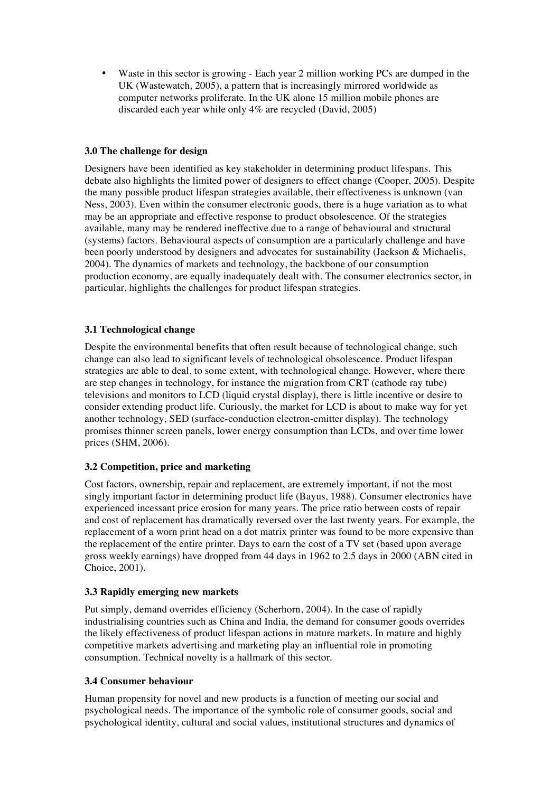• Waste in this sector is growing - Each year 2 million working PCs are dumped in the UK (Wastewatch, 2005), a pattern that is increasingly mirrored worldwide as computer networks proliferate. In the UK alone 15 million mobile phones are discarded each year while only 4% are recycled (David, 2005)

# **3.0 The challenge for design**

Designers have been identified as key stakeholder in determining product lifespans. This debate also highlights the limited power of designers to effect change (Cooper, 2005). Despite the many possible product lifespan strategies available, their effectiveness is unknown (van Ness, 2003). Even within the consumer electronic goods, there is a huge variation as to what may be an appropriate and effective response to product obsolescence. Of the strategies available, many may be rendered ineffective due to a range of behavioural and structural (systems) factors. Behavioural aspects of consumption are a particularly challenge and have been poorly understood by designers and advocates for sustainability (Jackson & Michaelis, 2004). The dynamics of markets and technology, the backbone of our consumption production economy, are equally inadequately dealt with. The consumer electronics sector, in particular, highlights the challenges for product lifespan strategies.

# **3.1 Technological change**

Despite the environmental benefits that often result because of technological change, such change can also lead to significant levels of technological obsolescence. Product lifespan strategies are able to deal, to some extent, with technological change. However, where there are step changes in technology, for instance the migration from CRT (cathode ray tube) televisions and monitors to LCD (liquid crystal display), there is little incentive or desire to consider extending product life. Curiously, the market for LCD is about to make way for yet another technology, SED (surface-conduction electron-emitter display). The technology promises thinner screen panels, lower energy consumption than LCDs, and over time lower prices (SHM, 2006).

# **3.2 Competition, price and marketing**

Cost factors, ownership, repair and replacement, are extremely important, if not the most singly important factor in determining product life (Bayus, 1988). Consumer electronics have experienced incessant price erosion for many years. The price ratio between costs of repair and cost of replacement has dramatically reversed over the last twenty years. For example, the replacement of a worn print head on a dot matrix printer was found to be more expensive than the replacement of the entire printer. Days to earn the cost of a TV set (based upon average gross weekly earnings) have dropped from 44 days in 1962 to 2.5 days in 2000 (ABN cited in Choice, 2001).

# **3.3 Rapidly emerging new markets**

Put simply, demand overrides efficiency (Scherhorn, 2004). In the case of rapidly industrialising countries such as China and India, the demand for consumer goods overrides the likely effectiveness of product lifespan actions in mature markets. In mature and highly competitive markets advertising and marketing play an influential role in promoting consumption. Technical novelty is a hallmark of this sector.

# **3.4 Consumer behaviour**

Human propensity for novel and new products is a function of meeting our social and psychological needs. The importance of the symbolic role of consumer goods, social and psychological identity, cultural and social values, institutional structures and dynamics of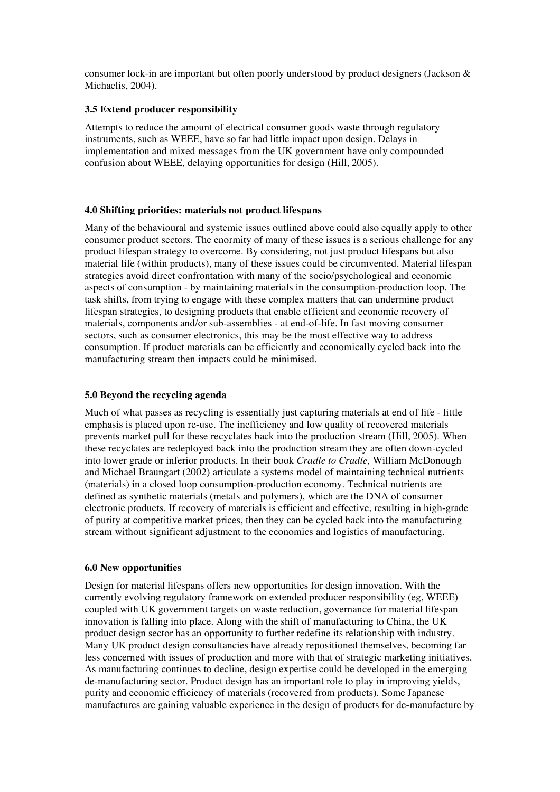consumer lock-in are important but often poorly understood by product designers (Jackson & Michaelis, 2004).

#### **3.5 Extend producer responsibility**

Attempts to reduce the amount of electrical consumer goods waste through regulatory instruments, such as WEEE, have so far had little impact upon design. Delays in implementation and mixed messages from the UK government have only compounded confusion about WEEE, delaying opportunities for design (Hill, 2005).

#### **4.0 Shifting priorities: materials not product lifespans**

Many of the behavioural and systemic issues outlined above could also equally apply to other consumer product sectors. The enormity of many of these issues is a serious challenge for any product lifespan strategy to overcome. By considering, not just product lifespans but also material life (within products), many of these issues could be circumvented. Material lifespan strategies avoid direct confrontation with many of the socio/psychological and economic aspects of consumption - by maintaining materials in the consumption-production loop. The task shifts, from trying to engage with these complex matters that can undermine product lifespan strategies, to designing products that enable efficient and economic recovery of materials, components and/or sub-assemblies - at end-of-life. In fast moving consumer sectors, such as consumer electronics, this may be the most effective way to address consumption. If product materials can be efficiently and economically cycled back into the manufacturing stream then impacts could be minimised.

### **5.0 Beyond the recycling agenda**

Much of what passes as recycling is essentially just capturing materials at end of life - little emphasis is placed upon re-use. The inefficiency and low quality of recovered materials prevents market pull for these recyclates back into the production stream (Hill, 2005). When these recyclates are redeployed back into the production stream they are often down-cycled into lower grade or inferior products. In their book *Cradle to Cradle,* William McDonough and Michael Braungart (2002) articulate a systems model of maintaining technical nutrients (materials) in a closed loop consumption-production economy. Technical nutrients are defined as synthetic materials (metals and polymers), which are the DNA of consumer electronic products. If recovery of materials is efficient and effective, resulting in high-grade of purity at competitive market prices, then they can be cycled back into the manufacturing stream without significant adjustment to the economics and logistics of manufacturing.

#### **6.0 New opportunities**

Design for material lifespans offers new opportunities for design innovation. With the currently evolving regulatory framework on extended producer responsibility (eg, WEEE) coupled with UK government targets on waste reduction, governance for material lifespan innovation is falling into place. Along with the shift of manufacturing to China, the UK product design sector has an opportunity to further redefine its relationship with industry. Many UK product design consultancies have already repositioned themselves, becoming far less concerned with issues of production and more with that of strategic marketing initiatives. As manufacturing continues to decline, design expertise could be developed in the emerging de-manufacturing sector. Product design has an important role to play in improving yields, purity and economic efficiency of materials (recovered from products). Some Japanese manufactures are gaining valuable experience in the design of products for de-manufacture by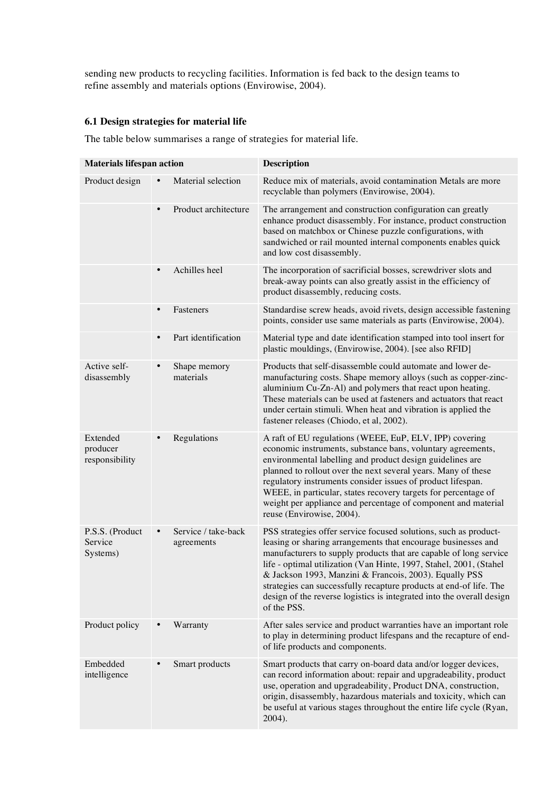sending new products to recycling facilities. Information is fed back to the design teams to refine assembly and materials options (Envirowise, 2004).

# **6.1 Design strategies for material life**

The table below summarises a range of strategies for material life.

| <b>Materials lifespan action</b>       |           |                                   | <b>Description</b>                                                                                                                                                                                                                                                                                                                                                                                                                                                                                   |
|----------------------------------------|-----------|-----------------------------------|------------------------------------------------------------------------------------------------------------------------------------------------------------------------------------------------------------------------------------------------------------------------------------------------------------------------------------------------------------------------------------------------------------------------------------------------------------------------------------------------------|
| Product design                         | $\bullet$ | Material selection                | Reduce mix of materials, avoid contamination Metals are more<br>recyclable than polymers (Envirowise, 2004).                                                                                                                                                                                                                                                                                                                                                                                         |
|                                        | $\bullet$ | Product architecture              | The arrangement and construction configuration can greatly<br>enhance product disassembly. For instance, product construction<br>based on matchbox or Chinese puzzle configurations, with<br>sandwiched or rail mounted internal components enables quick<br>and low cost disassembly.                                                                                                                                                                                                               |
|                                        | $\bullet$ | Achilles heel                     | The incorporation of sacrificial bosses, screwdriver slots and<br>break-away points can also greatly assist in the efficiency of<br>product disassembly, reducing costs.                                                                                                                                                                                                                                                                                                                             |
|                                        | $\bullet$ | Fasteners                         | Standardise screw heads, avoid rivets, design accessible fastening<br>points, consider use same materials as parts (Envirowise, 2004).                                                                                                                                                                                                                                                                                                                                                               |
|                                        | $\bullet$ | Part identification               | Material type and date identification stamped into tool insert for<br>plastic mouldings, (Envirowise, 2004). [see also RFID]                                                                                                                                                                                                                                                                                                                                                                         |
| Active self-<br>disassembly            | $\bullet$ | Shape memory<br>materials         | Products that self-disassemble could automate and lower de-<br>manufacturing costs. Shape memory alloys (such as copper-zinc-<br>aluminium Cu-Zn-Al) and polymers that react upon heating.<br>These materials can be used at fasteners and actuators that react<br>under certain stimuli. When heat and vibration is applied the<br>fastener releases (Chiodo, et al, 2002).                                                                                                                         |
| Extended<br>producer<br>responsibility |           | Regulations                       | A raft of EU regulations (WEEE, EuP, ELV, IPP) covering<br>economic instruments, substance bans, voluntary agreements,<br>environmental labelling and product design guidelines are<br>planned to rollout over the next several years. Many of these<br>regulatory instruments consider issues of product lifespan.<br>WEEE, in particular, states recovery targets for percentage of<br>weight per appliance and percentage of component and material<br>reuse (Envirowise, 2004).                  |
| P.S.S. (Product<br>Service<br>Systems) | $\bullet$ | Service / take-back<br>agreements | PSS strategies offer service focused solutions, such as product-<br>leasing or sharing arrangements that encourage businesses and<br>manufacturers to supply products that are capable of long service<br>life - optimal utilization (Van Hinte, 1997, Stahel, 2001, (Stahel<br>& Jackson 1993, Manzini & Francois, 2003). Equally PSS<br>strategies can successfully recapture products at end-of life. The<br>design of the reverse logistics is integrated into the overall design<br>of the PSS. |
| Product policy                         |           | Warranty                          | After sales service and product warranties have an important role<br>to play in determining product lifespans and the recapture of end-<br>of life products and components.                                                                                                                                                                                                                                                                                                                          |
| Embedded<br>intelligence               |           | Smart products                    | Smart products that carry on-board data and/or logger devices,<br>can record information about: repair and upgradeability, product<br>use, operation and upgradeability, Product DNA, construction,<br>origin, disassembly, hazardous materials and toxicity, which can<br>be useful at various stages throughout the entire life cycle (Ryan,<br>2004).                                                                                                                                             |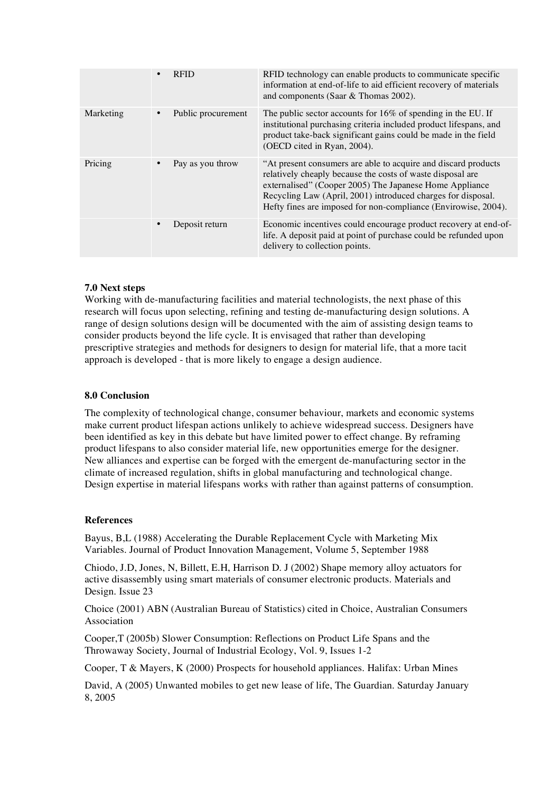|           | $\bullet$ | <b>REID</b>        | RFID technology can enable products to communicate specific<br>information at end-of-life to aid efficient recovery of materials<br>and components (Saar & Thomas 2002).                                                                                                                                                  |
|-----------|-----------|--------------------|---------------------------------------------------------------------------------------------------------------------------------------------------------------------------------------------------------------------------------------------------------------------------------------------------------------------------|
| Marketing | ٠         | Public procurement | The public sector accounts for $16\%$ of spending in the EU. If<br>institutional purchasing criteria included product lifespans, and<br>product take-back significant gains could be made in the field<br>(OECD cited in Ryan, 2004).                                                                                     |
| Pricing   |           | Pay as you throw   | "At present consumers are able to acquire and discard products<br>relatively cheaply because the costs of waste disposal are<br>externalised" (Cooper 2005) The Japanese Home Appliance<br>Recycling Law (April, 2001) introduced charges for disposal.<br>Hefty fines are imposed for non-compliance (Envirowise, 2004). |
|           | $\bullet$ | Deposit return     | Economic incentives could encourage product recovery at end-of-<br>life. A deposit paid at point of purchase could be refunded upon<br>delivery to collection points.                                                                                                                                                     |

# **7.0 Next steps**

Working with de-manufacturing facilities and material technologists, the next phase of this research will focus upon selecting, refining and testing de-manufacturing design solutions. A range of design solutions design will be documented with the aim of assisting design teams to consider products beyond the life cycle. It is envisaged that rather than developing prescriptive strategies and methods for designers to design for material life, that a more tacit approach is developed - that is more likely to engage a design audience.

# **8.0 Conclusion**

The complexity of technological change, consumer behaviour, markets and economic systems make current product lifespan actions unlikely to achieve widespread success. Designers have been identified as key in this debate but have limited power to effect change. By reframing product lifespans to also consider material life, new opportunities emerge for the designer. New alliances and expertise can be forged with the emergent de-manufacturing sector in the climate of increased regulation, shifts in global manufacturing and technological change. Design expertise in material lifespans works with rather than against patterns of consumption.

# **References**

Bayus, B,L (1988) Accelerating the Durable Replacement Cycle with Marketing Mix Variables. Journal of Product Innovation Management, Volume 5, September 1988

Chiodo, J.D, Jones, N, Billett, E.H, Harrison D. J (2002) Shape memory alloy actuators for active disassembly using smart materials of consumer electronic products. Materials and Design. Issue 23

Choice (2001) ABN (Australian Bureau of Statistics) cited in Choice, Australian Consumers Association

Cooper,T (2005b) Slower Consumption: Reflections on Product Life Spans and the Throwaway Society, Journal of Industrial Ecology, Vol. 9, Issues 1-2

Cooper, T & Mayers, K (2000) Prospects for household appliances. Halifax: Urban Mines

David, A (2005) Unwanted mobiles to get new lease of life, The Guardian. Saturday January 8, 2005